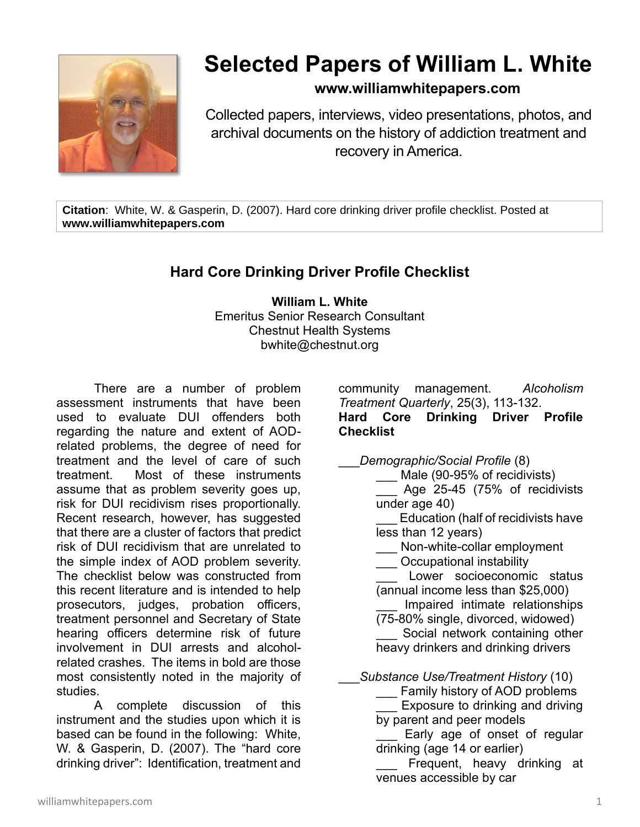

## **Selected Papers of William L. White**

## **www.williamwhitepapers.com**

Collected papers, interviews, video presentations, photos, and archival documents on the history of addiction treatment and recovery in America.

**Citation**: White, W. & Gasperin, D. (2007). Hard core drinking driver profile checklist. Posted at **www.williamwhitepapers.com**

## **Hard Core Drinking Driver Profile Checklist**

**William L. White** Emeritus Senior Research Consultant Chestnut Health Systems bwhite@chestnut.org

There are a number of problem assessment instruments that have been used to evaluate DUI offenders both regarding the nature and extent of AODrelated problems, the degree of need for treatment and the level of care of such treatment. Most of these instruments assume that as problem severity goes up, risk for DUI recidivism rises proportionally. Recent research, however, has suggested that there are a cluster of factors that predict risk of DUI recidivism that are unrelated to the simple index of AOD problem severity. The checklist below was constructed from this recent literature and is intended to help prosecutors, judges, probation officers, treatment personnel and Secretary of State hearing officers determine risk of future involvement in DUI arrests and alcoholrelated crashes. The items in bold are those most consistently noted in the majority of studies.

A complete discussion of this instrument and the studies upon which it is based can be found in the following: White, W. & Gasperin, D. (2007). The "hard core drinking driver": Identification, treatment and

community management. *Alcoholism Treatment Quarterly*, 25(3), 113-132. **Hard Core Drinking Driver Profile Checklist**

\_\_\_*Demographic/Social Profile* (8)

Male (90-95% of recidivists) Age 25-45 (75% of recidivists under age 40)

Education (half of recidivists have less than 12 years)

Non-white-collar employment

\_\_\_ Occupational instability

Lower socioeconomic status (annual income less than \$25,000)

Impaired intimate relationships (75-80% single, divorced, widowed)

Social network containing other heavy drinkers and drinking drivers

\_\_\_*Substance Use/Treatment History* (10)

Family history of AOD problems Exposure to drinking and driving by parent and peer models

Early age of onset of regular drinking (age 14 or earlier)

Frequent, heavy drinking at venues accessible by car